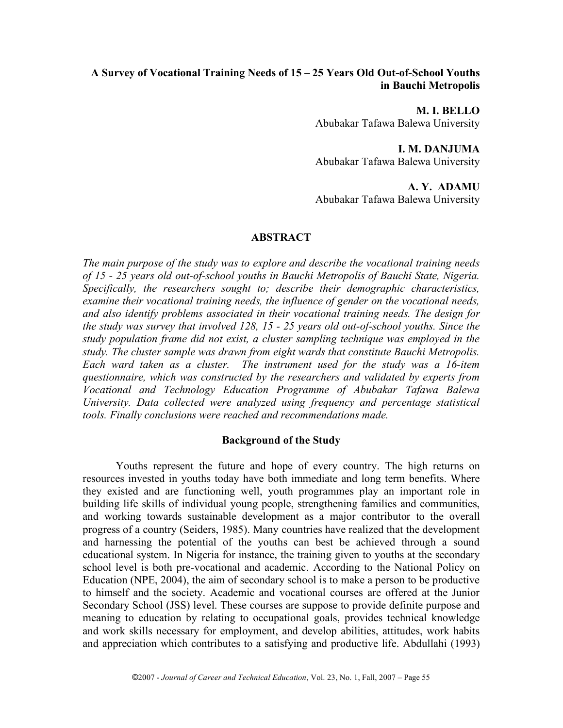# **A Survey of Vocational Training Needs of 15 – 25 Years Old Out-of-School Youths in Bauchi Metropolis**

**M. I. BELLO** Abubakar Tafawa Balewa University

**I. M. DANJUMA** Abubakar Tafawa Balewa University

**A. Y. ADAMU** Abubakar Tafawa Balewa University

## **ABSTRACT**

*The main purpose of the study was to explore and describe the vocational training needs of 15 - 25 years old out-of-school youths in Bauchi Metropolis of Bauchi State, Nigeria. Specifically, the researchers sought to; describe their demographic characteristics, examine their vocational training needs, the influence of gender on the vocational needs, and also identify problems associated in their vocational training needs. The design for the study was survey that involved 128, 15 - 25 years old out-of-school youths. Since the study population frame did not exist, a cluster sampling technique was employed in the study. The cluster sample was drawn from eight wards that constitute Bauchi Metropolis. Each ward taken as a cluster. The instrument used for the study was a 16-item questionnaire, which was constructed by the researchers and validated by experts from Vocational and Technology Education Programme of Abubakar Tafawa Balewa University. Data collected were analyzed using frequency and percentage statistical tools. Finally conclusions were reached and recommendations made.*

### **Background of the Study**

Youths represent the future and hope of every country. The high returns on resources invested in youths today have both immediate and long term benefits. Where they existed and are functioning well, youth programmes play an important role in building life skills of individual young people, strengthening families and communities, and working towards sustainable development as a major contributor to the overall progress of a country (Seiders, 1985). Many countries have realized that the development and harnessing the potential of the youths can best be achieved through a sound educational system. In Nigeria for instance, the training given to youths at the secondary school level is both pre-vocational and academic. According to the National Policy on Education (NPE, 2004), the aim of secondary school is to make a person to be productive to himself and the society. Academic and vocational courses are offered at the Junior Secondary School (JSS) level. These courses are suppose to provide definite purpose and meaning to education by relating to occupational goals, provides technical knowledge and work skills necessary for employment, and develop abilities, attitudes, work habits and appreciation which contributes to a satisfying and productive life. Abdullahi (1993)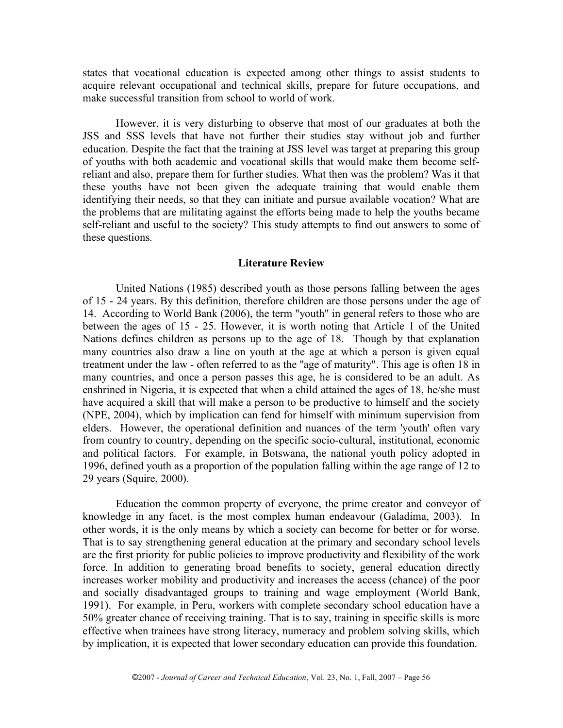states that vocational education is expected among other things to assist students to acquire relevant occupational and technical skills, prepare for future occupations, and make successful transition from school to world of work.

However, it is very disturbing to observe that most of our graduates at both the JSS and SSS levels that have not further their studies stay without job and further education. Despite the fact that the training at JSS level was target at preparing this group of youths with both academic and vocational skills that would make them become selfreliant and also, prepare them for further studies. What then was the problem? Was it that these youths have not been given the adequate training that would enable them identifying their needs, so that they can initiate and pursue available vocation? What are the problems that are militating against the efforts being made to help the youths became self-reliant and useful to the society? This study attempts to find out answers to some of these questions.

#### **Literature Review**

United Nations (1985) described youth as those persons falling between the ages of 15 - 24 years. By this definition, therefore children are those persons under the age of 14. According to World Bank (2006), the term "youth" in general refers to those who are between the ages of 15 - 25. However, it is worth noting that Article 1 of the United Nations defines children as persons up to the age of 18. Though by that explanation many countries also draw a line on youth at the age at which a person is given equal treatment under the law - often referred to as the "age of maturity". This age is often 18 in many countries, and once a person passes this age, he is considered to be an adult. As enshrined in Nigeria, it is expected that when a child attained the ages of 18, he/she must have acquired a skill that will make a person to be productive to himself and the society (NPE, 2004), which by implication can fend for himself with minimum supervision from elders. However, the operational definition and nuances of the term 'youth' often vary from country to country, depending on the specific socio-cultural, institutional, economic and political factors. For example, in Botswana, the national youth policy adopted in 1996, defined youth as a proportion of the population falling within the age range of 12 to 29 years (Squire, 2000).

Education the common property of everyone, the prime creator and conveyor of knowledge in any facet, is the most complex human endeavour (Galadima, 2003). In other words, it is the only means by which a society can become for better or for worse. That is to say strengthening general education at the primary and secondary school levels are the first priority for public policies to improve productivity and flexibility of the work force. In addition to generating broad benefits to society, general education directly increases worker mobility and productivity and increases the access (chance) of the poor and socially disadvantaged groups to training and wage employment (World Bank, 1991). For example, in Peru, workers with complete secondary school education have a 50% greater chance of receiving training. That is to say, training in specific skills is more effective when trainees have strong literacy, numeracy and problem solving skills, which by implication, it is expected that lower secondary education can provide this foundation.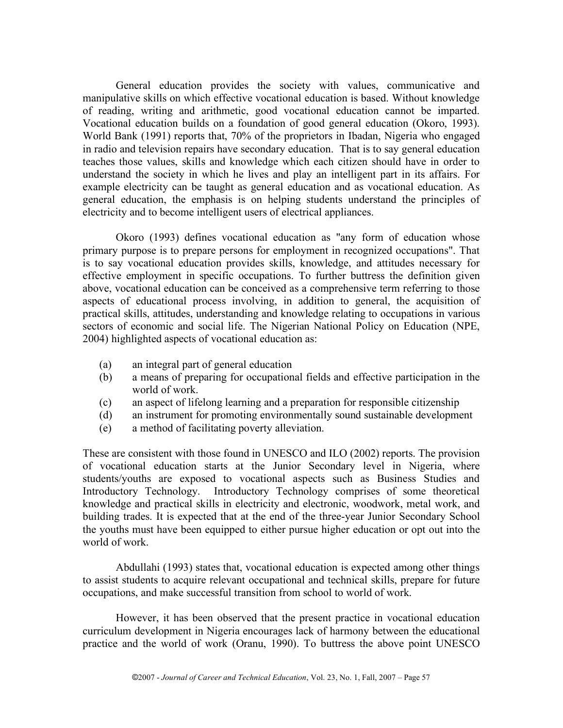General education provides the society with values, communicative and manipulative skills on which effective vocational education is based. Without knowledge of reading, writing and arithmetic, good vocational education cannot be imparted. Vocational education builds on a foundation of good general education (Okoro, 1993). World Bank (1991) reports that, 70% of the proprietors in Ibadan, Nigeria who engaged in radio and television repairs have secondary education. That is to say general education teaches those values, skills and knowledge which each citizen should have in order to understand the society in which he lives and play an intelligent part in its affairs. For example electricity can be taught as general education and as vocational education. As general education, the emphasis is on helping students understand the principles of electricity and to become intelligent users of electrical appliances.

Okoro (1993) defines vocational education as "any form of education whose primary purpose is to prepare persons for employment in recognized occupations". That is to say vocational education provides skills, knowledge, and attitudes necessary for effective employment in specific occupations. To further buttress the definition given above, vocational education can be conceived as a comprehensive term referring to those aspects of educational process involving, in addition to general, the acquisition of practical skills, attitudes, understanding and knowledge relating to occupations in various sectors of economic and social life. The Nigerian National Policy on Education (NPE, 2004) highlighted aspects of vocational education as:

- (a) an integral part of general education
- (b) a means of preparing for occupational fields and effective participation in the world of work.
- (c) an aspect of lifelong learning and a preparation for responsible citizenship
- (d) an instrument for promoting environmentally sound sustainable development
- (e) a method of facilitating poverty alleviation.

These are consistent with those found in UNESCO and ILO (2002) reports. The provision of vocational education starts at the Junior Secondary level in Nigeria, where students/youths are exposed to vocational aspects such as Business Studies and Introductory Technology. Introductory Technology comprises of some theoretical knowledge and practical skills in electricity and electronic, woodwork, metal work, and building trades. It is expected that at the end of the three-year Junior Secondary School the youths must have been equipped to either pursue higher education or opt out into the world of work.

Abdullahi (1993) states that, vocational education is expected among other things to assist students to acquire relevant occupational and technical skills, prepare for future occupations, and make successful transition from school to world of work.

However, it has been observed that the present practice in vocational education curriculum development in Nigeria encourages lack of harmony between the educational practice and the world of work (Oranu, 1990). To buttress the above point UNESCO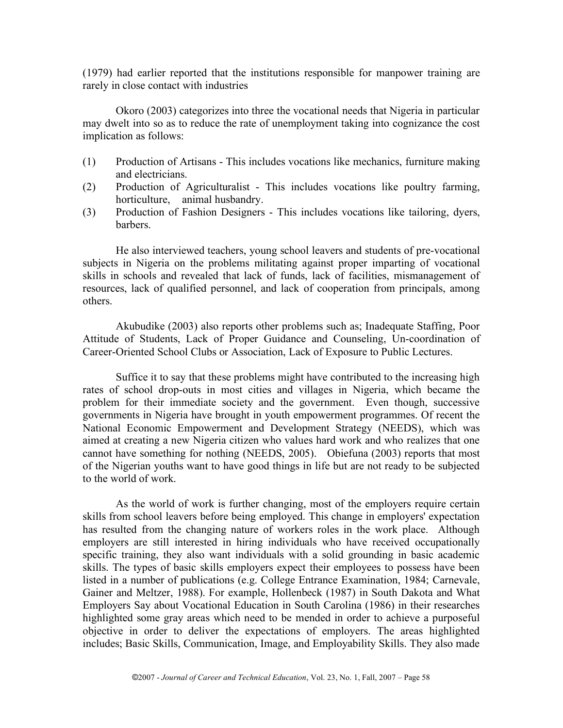(1979) had earlier reported that the institutions responsible for manpower training are rarely in close contact with industries

Okoro (2003) categorizes into three the vocational needs that Nigeria in particular may dwelt into so as to reduce the rate of unemployment taking into cognizance the cost implication as follows:

- (1) Production of Artisans This includes vocations like mechanics, furniture making and electricians.
- (2) Production of Agriculturalist This includes vocations like poultry farming, horticulture, animal husbandry.
- (3) Production of Fashion Designers This includes vocations like tailoring, dyers, barbers.

He also interviewed teachers, young school leavers and students of pre-vocational subjects in Nigeria on the problems militating against proper imparting of vocational skills in schools and revealed that lack of funds, lack of facilities, mismanagement of resources, lack of qualified personnel, and lack of cooperation from principals, among others.

Akubudike (2003) also reports other problems such as; Inadequate Staffing, Poor Attitude of Students, Lack of Proper Guidance and Counseling, Un-coordination of Career-Oriented School Clubs or Association, Lack of Exposure to Public Lectures.

Suffice it to say that these problems might have contributed to the increasing high rates of school drop-outs in most cities and villages in Nigeria, which became the problem for their immediate society and the government. Even though, successive governments in Nigeria have brought in youth empowerment programmes. Of recent the National Economic Empowerment and Development Strategy (NEEDS), which was aimed at creating a new Nigeria citizen who values hard work and who realizes that one cannot have something for nothing (NEEDS, 2005). Obiefuna (2003) reports that most of the Nigerian youths want to have good things in life but are not ready to be subjected to the world of work.

As the world of work is further changing, most of the employers require certain skills from school leavers before being employed. This change in employers' expectation has resulted from the changing nature of workers roles in the work place. Although employers are still interested in hiring individuals who have received occupationally specific training, they also want individuals with a solid grounding in basic academic skills. The types of basic skills employers expect their employees to possess have been listed in a number of publications (e.g. College Entrance Examination, 1984; Carnevale, Gainer and Meltzer, 1988). For example, Hollenbeck (1987) in South Dakota and What Employers Say about Vocational Education in South Carolina (1986) in their researches highlighted some gray areas which need to be mended in order to achieve a purposeful objective in order to deliver the expectations of employers. The areas highlighted includes; Basic Skills, Communication, Image, and Employability Skills. They also made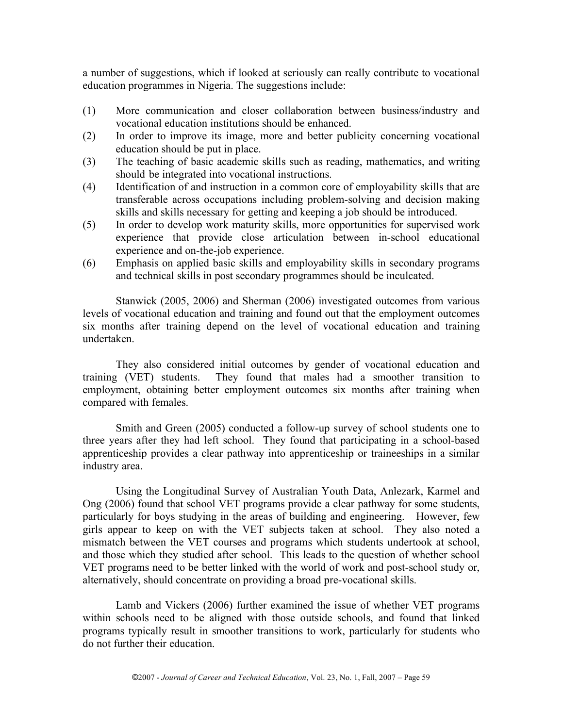a number of suggestions, which if looked at seriously can really contribute to vocational education programmes in Nigeria. The suggestions include:

- (1) More communication and closer collaboration between business/industry and vocational education institutions should be enhanced.
- (2) In order to improve its image, more and better publicity concerning vocational education should be put in place.
- (3) The teaching of basic academic skills such as reading, mathematics, and writing should be integrated into vocational instructions.
- (4) Identification of and instruction in a common core of employability skills that are transferable across occupations including problem-solving and decision making skills and skills necessary for getting and keeping a job should be introduced.
- (5) In order to develop work maturity skills, more opportunities for supervised work experience that provide close articulation between in-school educational experience and on-the-job experience.
- (6) Emphasis on applied basic skills and employability skills in secondary programs and technical skills in post secondary programmes should be inculcated.

Stanwick (2005, 2006) and Sherman (2006) investigated outcomes from various levels of vocational education and training and found out that the employment outcomes six months after training depend on the level of vocational education and training undertaken.

They also considered initial outcomes by gender of vocational education and training (VET) students. They found that males had a smoother transition to employment, obtaining better employment outcomes six months after training when compared with females.

Smith and Green (2005) conducted a follow-up survey of school students one to three years after they had left school. They found that participating in a school-based apprenticeship provides a clear pathway into apprenticeship or traineeships in a similar industry area.

Using the Longitudinal Survey of Australian Youth Data, Anlezark, Karmel and Ong (2006) found that school VET programs provide a clear pathway for some students, particularly for boys studying in the areas of building and engineering. However, few girls appear to keep on with the VET subjects taken at school. They also noted a mismatch between the VET courses and programs which students undertook at school, and those which they studied after school. This leads to the question of whether school VET programs need to be better linked with the world of work and post-school study or, alternatively, should concentrate on providing a broad pre-vocational skills.

Lamb and Vickers (2006) further examined the issue of whether VET programs within schools need to be aligned with those outside schools, and found that linked programs typically result in smoother transitions to work, particularly for students who do not further their education.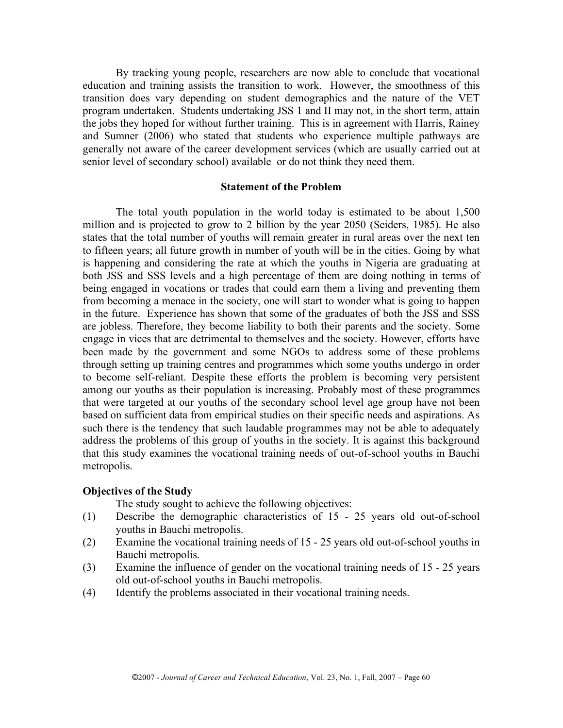By tracking young people, researchers are now able to conclude that vocational education and training assists the transition to work. However, the smoothness of this transition does vary depending on student demographics and the nature of the VET program undertaken. Students undertaking JSS 1 and II may not, in the short term, attain the jobs they hoped for without further training. This is in agreement with Harris, Rainey and Sumner (2006) who stated that students who experience multiple pathways are generally not aware of the career development services (which are usually carried out at senior level of secondary school) available or do not think they need them.

### **Statement of the Problem**

The total youth population in the world today is estimated to be about 1,500 million and is projected to grow to 2 billion by the year 2050 (Seiders, 1985). He also states that the total number of youths will remain greater in rural areas over the next ten to fifteen years; all future growth in number of youth will be in the cities. Going by what is happening and considering the rate at which the youths in Nigeria are graduating at both JSS and SSS levels and a high percentage of them are doing nothing in terms of being engaged in vocations or trades that could earn them a living and preventing them from becoming a menace in the society, one will start to wonder what is going to happen in the future. Experience has shown that some of the graduates of both the JSS and SSS are jobless. Therefore, they become liability to both their parents and the society. Some engage in vices that are detrimental to themselves and the society. However, efforts have been made by the government and some NGOs to address some of these problems through setting up training centres and programmes which some youths undergo in order to become self-reliant. Despite these efforts the problem is becoming very persistent among our youths as their population is increasing. Probably most of these programmes that were targeted at our youths of the secondary school level age group have not been based on sufficient data from empirical studies on their specific needs and aspirations. As such there is the tendency that such laudable programmes may not be able to adequately address the problems of this group of youths in the society. It is against this background that this study examines the vocational training needs of out-of-school youths in Bauchi metropolis.

### **Objectives of the Study**

The study sought to achieve the following objectives:

- (1) Describe the demographic characteristics of 15 25 years old out-of-school youths in Bauchi metropolis.
- (2) Examine the vocational training needs of 15 25 years old out-of-school youths in Bauchi metropolis.
- (3) Examine the influence of gender on the vocational training needs of 15 25 years old out-of-school youths in Bauchi metropolis.
- (4) Identify the problems associated in their vocational training needs.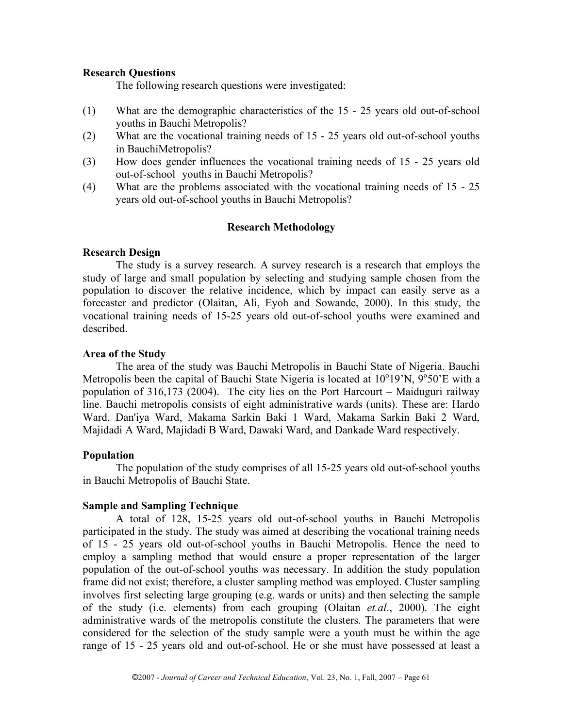## **Research Questions**

The following research questions were investigated:

- (1) What are the demographic characteristics of the 15 25 years old out-of-school youths in Bauchi Metropolis?
- (2) What are the vocational training needs of 15 25 years old out-of-school youths in BauchiMetropolis?
- (3) How does gender influences the vocational training needs of 15 25 years old out-of-school youths in Bauchi Metropolis?
- (4) What are the problems associated with the vocational training needs of 15 25 years old out-of-school youths in Bauchi Metropolis?

## **Research Methodology**

## **Research Design**

The study is a survey research. A survey research is a research that employs the study of large and small population by selecting and studying sample chosen from the population to discover the relative incidence, which by impact can easily serve as a forecaster and predictor (Olaitan, Ali, Eyoh and Sowande, 2000). In this study, the vocational training needs of 15-25 years old out-of-school youths were examined and described.

## **Area of the Study**

The area of the study was Bauchi Metropolis in Bauchi State of Nigeria. Bauchi Metropolis been the capital of Bauchi State Nigeria is located at  $10^{\circ}19'N$ ,  $9^{\circ}50'E$  with a population of 316,173 (2004). The city lies on the Port Harcourt – Maiduguri railway line. Bauchi metropolis consists of eight administrative wards (units). These are: Hardo Ward, Dan'iya Ward, Makama Sarkin Baki 1 Ward, Makama Sarkin Baki 2 Ward, Majidadi A Ward, Majidadi B Ward, Dawaki Ward, and Dankade Ward respectively.

# **Population**

The population of the study comprises of all 15-25 years old out-of-school youths in Bauchi Metropolis of Bauchi State.

# **Sample and Sampling Technique**

A total of 128, 15-25 years old out-of-school youths in Bauchi Metropolis participated in the study. The study was aimed at describing the vocational training needs of 15 - 25 years old out-of-school youths in Bauchi Metropolis. Hence the need to employ a sampling method that would ensure a proper representation of the larger population of the out-of-school youths was necessary. In addition the study population frame did not exist; therefore, a cluster sampling method was employed. Cluster sampling involves first selecting large grouping (e.g. wards or units) and then selecting the sample of the study (i.e. elements) from each grouping (Olaitan *et.al*., 2000). The eight administrative wards of the metropolis constitute the clusters. The parameters that were considered for the selection of the study sample were a youth must be within the age range of 15 - 25 years old and out-of-school. He or she must have possessed at least a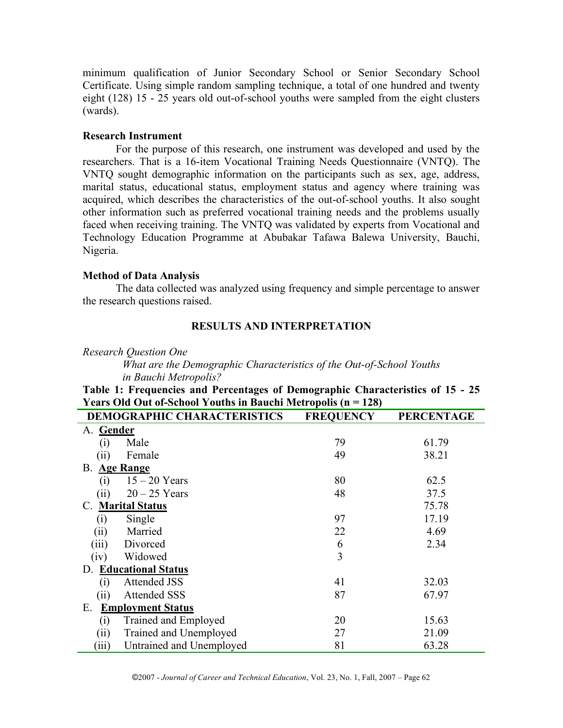minimum qualification of Junior Secondary School or Senior Secondary School Certificate. Using simple random sampling technique, a total of one hundred and twenty eight (128) 15 - 25 years old out-of-school youths were sampled from the eight clusters (wards).

# **Research Instrument**

For the purpose of this research, one instrument was developed and used by the researchers. That is a 16-item Vocational Training Needs Questionnaire (VNTQ). The VNTQ sought demographic information on the participants such as sex, age, address, marital status, educational status, employment status and agency where training was acquired, which describes the characteristics of the out-of-school youths. It also sought other information such as preferred vocational training needs and the problems usually faced when receiving training. The VNTQ was validated by experts from Vocational and Technology Education Programme at Abubakar Tafawa Balewa University, Bauchi, Nigeria.

# **Method of Data Analysis**

The data collected was analyzed using frequency and simple percentage to answer the research questions raised.

# **RESULTS AND INTERPRETATION**

*Research Question One*

*What are the Demographic Characteristics of the Out-of-School Youths in Bauchi Metropolis?*

**Table 1: Frequencies and Percentages of Demographic Characteristics of 15 - 25 Years Old Out of-School Youths in Bauchi Metropolis (n = 128)**

|                                | <b>DEMOGRAPHIC CHARACTERISTICS</b> | <b>FREQUENCY</b> | <b>PERCENTAGE</b> |  |  |  |
|--------------------------------|------------------------------------|------------------|-------------------|--|--|--|
| A. Gender                      |                                    |                  |                   |  |  |  |
| (i)                            | Male                               | 79               | 61.79             |  |  |  |
| (i)                            | Female                             | 49               | 38.21             |  |  |  |
| В.                             | <b>Age Range</b>                   |                  |                   |  |  |  |
| (i)                            | $15 - 20$ Years                    | 80               | 62.5              |  |  |  |
| (ii)                           | $20 - 25$ Years                    | 48               | 37.5              |  |  |  |
| C.                             | <b>Marital Status</b>              |                  | 75.78             |  |  |  |
| $\left( i\right)$              | Single                             | 97               | 17.19             |  |  |  |
| (ii)                           | Married                            | 22               | 4.69              |  |  |  |
| (iii)                          | Divorced                           | 6                | 2.34              |  |  |  |
| (iv)                           | Widowed                            | 3                |                   |  |  |  |
| D.                             | <b>Educational Status</b>          |                  |                   |  |  |  |
| (1)                            | <b>Attended JSS</b>                | 41               | 32.03             |  |  |  |
| (ii)                           | <b>Attended SSS</b>                | 87               | 67.97             |  |  |  |
| Ε.<br><b>Employment Status</b> |                                    |                  |                   |  |  |  |
| (i)                            | Trained and Employed               | 20               | 15.63             |  |  |  |
| (ii)                           | Trained and Unemployed             | 27               | 21.09             |  |  |  |
| (iii)                          | Untrained and Unemployed           | 81               | 63.28             |  |  |  |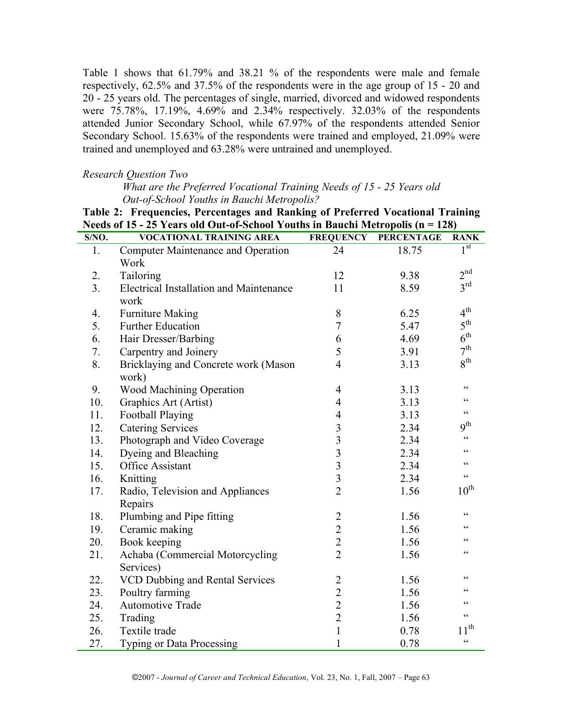Table 1 shows that 61.79% and 38.21 % of the respondents were male and female respectively, 62.5% and 37.5% of the respondents were in the age group of 15 - 20 and 20 - 25 years old. The percentages of single, married, divorced and widowed respondents were 75.78%, 17.19%, 4.69% and 2.34% respectively. 32.03% of the respondents attended Junior Secondary School, while 67.97% of the respondents attended Senior Secondary School. 15.63% of the respondents were trained and employed, 21.09% were trained and unemployed and 63.28% were untrained and unemployed.

### *Research Question Two*

*What are the Preferred Vocational Training Needs of 15 - 25 Years old Out-of-School Youths in Bauchi Metropolis?*

**Table 2: Frequencies, Percentages and Ranking of Preferred Vocational Training Needs of 15 - 25 Years old Out-of-School Youths in Bauchi Metropolis (n = 128)**

| S/NO.          | <b>VOCATIONAL TRAINING AREA</b>                | <b>FREQUENCY</b>        | <b>PERCENTAGE</b> | <b>RANK</b>                                       |
|----------------|------------------------------------------------|-------------------------|-------------------|---------------------------------------------------|
| 1.             | <b>Computer Maintenance and Operation</b>      | 24                      | 18.75             | $1^{\overline{st}}$                               |
|                | Work                                           |                         |                   |                                                   |
| 2.             | Tailoring                                      | 12                      | 9.38              | 2 <sup>nd</sup>                                   |
| 3 <sub>1</sub> | <b>Electrical Installation and Maintenance</b> | 11                      | 8.59              | $3^{\text{rd}}$                                   |
|                | work                                           |                         |                   |                                                   |
| 4.             | <b>Furniture Making</b>                        | 8                       | 6.25              | 4 <sup>th</sup>                                   |
| 5.             | <b>Further Education</b>                       | $\overline{7}$          | 5.47              | 5 <sup>th</sup>                                   |
| 6.             | Hair Dresser/Barbing                           | 6                       | 4.69              | $6^{\text{th}}$                                   |
| 7.             | Carpentry and Joinery                          | 5                       | 3.91              | 7 <sup>th</sup>                                   |
| 8.             | Bricklaying and Concrete work (Mason           | $\overline{4}$          | 3.13              | 8 <sup>th</sup>                                   |
|                | work)                                          |                         |                   |                                                   |
| 9.             | Wood Machining Operation                       | 4                       | 3.13              | $\zeta$ $\zeta$                                   |
| 10.            | Graphics Art (Artist)                          | $\overline{4}$          | 3.13              | $\zeta$ $\zeta$                                   |
| 11.            | Football Playing                               | $\overline{4}$          | 3.13              | cc                                                |
| 12.            | <b>Catering Services</b>                       | $\overline{3}$          | 2.34              | 9 <sup>th</sup>                                   |
| 13.            | Photograph and Video Coverage                  | $\overline{\mathbf{3}}$ | 2.34              | $\boldsymbol{\varsigma}$ $\boldsymbol{\varsigma}$ |
| 14.            | Dyeing and Bleaching                           | $\overline{3}$          | 2.34              | $\zeta$ $\zeta$                                   |
| 15.            | Office Assistant                               | $\overline{\mathbf{3}}$ | 2.34              | $\zeta$ $\zeta$                                   |
| 16.            | Knitting                                       | $\overline{3}$          | 2.34              | $\zeta$ $\zeta$                                   |
| 17.            | Radio, Television and Appliances               | $\overline{2}$          | 1.56              | $10^{\rm th}$                                     |
|                | Repairs                                        |                         |                   |                                                   |
| 18.            | Plumbing and Pipe fitting                      |                         | 1.56              | $\zeta$ $\zeta$                                   |
| 19.            | Ceramic making                                 | $\frac{2}{2}$           | 1.56              | $\zeta$ $\zeta$                                   |
| 20.            | Book keeping                                   | $\overline{2}$          | 1.56              | $\zeta$ $\zeta$                                   |
| 21.            | Achaba (Commercial Motorcycling                | $\overline{2}$          | 1.56              | $\zeta$ $\zeta$                                   |
|                | Services)                                      |                         |                   |                                                   |
| 22.            | VCD Dubbing and Rental Services                | $\overline{2}$          | 1.56              | $\boldsymbol{\varsigma}$ $\boldsymbol{\varsigma}$ |
| 23.            | Poultry farming                                | $\overline{c}$          | 1.56              | cc                                                |
| 24.            | Automotive Trade                               | $\overline{c}$          | 1.56              | cc                                                |
| 25.            | Trading                                        | $\overline{2}$          | 1.56              | $\zeta$ $\zeta$                                   |
| 26.            | Textile trade                                  | $\mathbf{1}$            | 0.78              | $11^{\rm th}$                                     |
| 27.            | <b>Typing or Data Processing</b>               | $\mathbf{1}$            | 0.78              | $\zeta\,\zeta$                                    |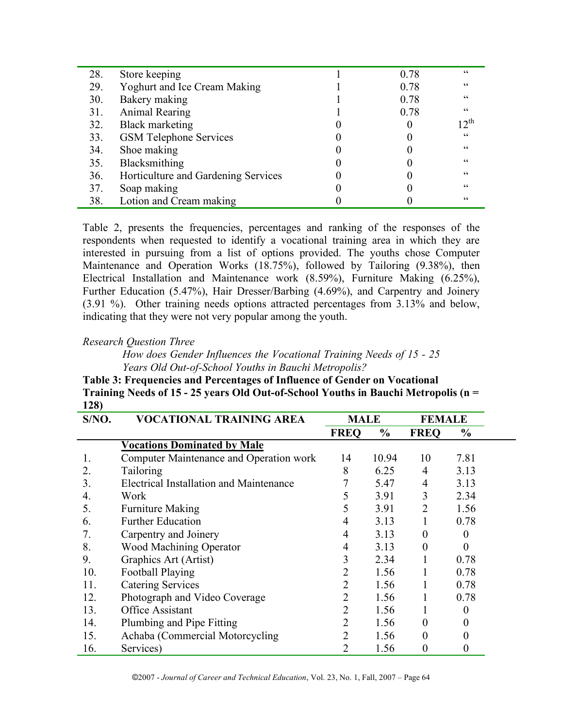| 28. | Store keeping                       | 0.78 | cc         |
|-----|-------------------------------------|------|------------|
| 29. | <b>Yoghurt and Ice Cream Making</b> | 0.78 | cc         |
| 30. | Bakery making                       | 0.78 | cc         |
| 31. | Animal Rearing                      | 0.78 | cc         |
| 32. | <b>Black marketing</b>              |      | $12^{th}$  |
| 33. | <b>GSM Telephone Services</b>       |      | cc         |
| 34. | Shoe making                         |      | $\epsilon$ |
| 35. | Blacksmithing                       |      | cc         |
| 36. | Horticulture and Gardening Services |      | cc         |
| 37. | Soap making                         |      | cc         |
| 38. | Lotion and Cream making             |      | $\epsilon$ |

Table 2, presents the frequencies, percentages and ranking of the responses of the respondents when requested to identify a vocational training area in which they are interested in pursuing from a list of options provided. The youths chose Computer Maintenance and Operation Works (18.75%), followed by Tailoring (9.38%), then Electrical Installation and Maintenance work (8.59%), Furniture Making (6.25%), Further Education (5.47%), Hair Dresser/Barbing (4.69%), and Carpentry and Joinery (3.91 %). Other training needs options attracted percentages from 3.13% and below, indicating that they were not very popular among the youth.

# *Research Question Three*

*How does Gender Influences the Vocational Training Needs of 15 - 25 Years Old Out-of-School Youths in Bauchi Metropolis?*

**Table 3: Frequencies and Percentages of Influence of Gender on Vocational Training Needs of 15 - 25 years Old Out-of-School Youths in Bauchi Metropolis (n = 128)**

| S/NO. | VOCATIONAL TRAINING AREA                | <b>MALE</b> |               | <b>FEMALE</b> |                  |  |
|-------|-----------------------------------------|-------------|---------------|---------------|------------------|--|
|       |                                         | <b>FREQ</b> | $\frac{0}{0}$ | <b>FREQ</b>   | $\frac{6}{9}$    |  |
|       | <b>Vocations Dominated by Male</b>      |             |               |               |                  |  |
| 1.    | Computer Maintenance and Operation work | 14          | 10.94         | 10            | 7.81             |  |
| 2.    | <b>Tailoring</b>                        | 8           | 6.25          | 4             | 3.13             |  |
| 3.    | Electrical Installation and Maintenance |             | 5.47          | 4             | 3.13             |  |
| 4.    | Work                                    |             | 3.91          | 3             | 2.34             |  |
| 5.    | <b>Furniture Making</b>                 |             | 3.91          | 2             | 1.56             |  |
| 6.    | <b>Further Education</b>                | 4           | 3.13          |               | 0.78             |  |
| 7.    | Carpentry and Joinery                   | 4           | 3.13          | $\theta$      | $\theta$         |  |
| 8.    | Wood Machining Operator                 | 4           | 3.13          | $\theta$      | $\theta$         |  |
| 9.    | Graphics Art (Artist)                   | 3           | 2.34          |               | 0.78             |  |
| 10.   | Football Playing                        | 2           | 1.56          |               | 0.78             |  |
| 11.   | <b>Catering Services</b>                | 2           | 1.56          |               | 0.78             |  |
| 12.   | Photograph and Video Coverage           | 2           | 1.56          |               | 0.78             |  |
| 13.   | <b>Office Assistant</b>                 | 2           | 1.56          |               | 0                |  |
| 14.   | Plumbing and Pipe Fitting               | 2           | 1.56          | 0             | 0                |  |
| 15.   | Achaba (Commercial Motorcycling         |             | 1.56          | 0             | 0                |  |
| 16.   | Services)                               | 2           | 1.56          | 0             | $\boldsymbol{0}$ |  |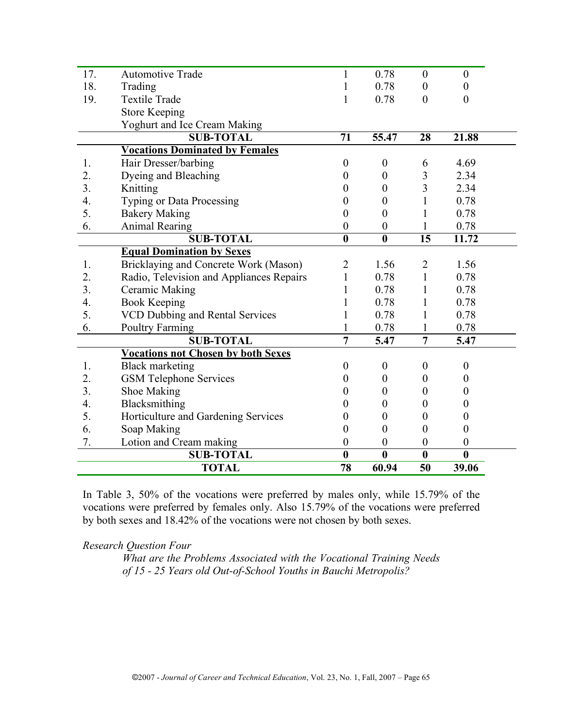| 17.              | <b>Automotive Trade</b>                   |                         | 0.78                    | $\mathbf{0}$     | $\boldsymbol{0}$ |  |
|------------------|-------------------------------------------|-------------------------|-------------------------|------------------|------------------|--|
| 18.              | Trading                                   |                         | 0.78                    | $\overline{0}$   | $\overline{0}$   |  |
| 19.              | <b>Textile Trade</b>                      | 1                       | 0.78                    | $\overline{0}$   | $\theta$         |  |
|                  | <b>Store Keeping</b>                      |                         |                         |                  |                  |  |
|                  | Yoghurt and Ice Cream Making              |                         |                         |                  |                  |  |
|                  | <b>SUB-TOTAL</b>                          | $\overline{71}$         | 55.47                   | $\overline{28}$  | 21.88            |  |
|                  | <b>Vocations Dominated by Females</b>     |                         |                         |                  |                  |  |
| 1.               | Hair Dresser/barbing                      | $\boldsymbol{0}$        | $\boldsymbol{0}$        | 6                | 4.69             |  |
| 2.               | Dyeing and Bleaching                      | $\theta$                | $\boldsymbol{0}$        | 3                | 2.34             |  |
| 3.               | Knitting                                  | 0                       | $\theta$                | $\overline{3}$   | 2.34             |  |
| $\overline{4}$ . | <b>Typing or Data Processing</b>          | 0                       | $\theta$                | 1                | 0.78             |  |
| 5.               | <b>Bakery Making</b>                      | $\overline{0}$          | $\overline{0}$          |                  | 0.78             |  |
| 6.               | <b>Animal Rearing</b>                     | $\overline{0}$          | $\boldsymbol{0}$        | 1                | 0.78             |  |
|                  | <b>SUB-TOTAL</b>                          | $\overline{\mathbf{0}}$ | $\overline{\mathbf{0}}$ | $\overline{15}$  | 11.72            |  |
|                  | <b>Equal Domination by Sexes</b>          |                         |                         |                  |                  |  |
| 1.               | Bricklaying and Concrete Work (Mason)     | $\overline{2}$          | 1.56                    | $\overline{2}$   | 1.56             |  |
| 2.               | Radio, Television and Appliances Repairs  | 1                       | 0.78                    | $\mathbf{1}$     | 0.78             |  |
| 3.               | Ceramic Making                            |                         | 0.78                    | 1                | 0.78             |  |
| 4.               | <b>Book Keeping</b>                       |                         | 0.78                    | 1                | 0.78             |  |
| 5.               | <b>VCD Dubbing and Rental Services</b>    |                         | 0.78                    | 1                | 0.78             |  |
| 6.               | <b>Poultry Farming</b>                    |                         | 0.78                    |                  | 0.78             |  |
|                  | <b>SUB-TOTAL</b>                          | $\overline{7}$          | $\overline{5.47}$       | $\overline{7}$   | 5.47             |  |
|                  | <b>Vocations not Chosen by both Sexes</b> |                         |                         |                  |                  |  |
| 1.               | <b>Black marketing</b>                    | $\theta$                | $\boldsymbol{0}$        | $\overline{0}$   | $\boldsymbol{0}$ |  |
| 2.               | <b>GSM Telephone Services</b>             | $\theta$                | $\overline{0}$          | $\theta$         | $\overline{0}$   |  |
| 3.               | Shoe Making                               | $\mathbf{0}$            | $\theta$                | $\overline{0}$   | 0                |  |
| 4.               | Blacksmithing                             | 0                       | $\theta$                | $\overline{0}$   | 0                |  |
| 5.               | Horticulture and Gardening Services       | 0                       | $\boldsymbol{0}$        | $\boldsymbol{0}$ | 0                |  |
| 6.               | Soap Making                               | $\overline{0}$          | $\boldsymbol{0}$        | $\theta$         | $\boldsymbol{0}$ |  |
| 7.               | Lotion and Cream making                   | $\boldsymbol{0}$        | $\boldsymbol{0}$        | $\boldsymbol{0}$ | $\boldsymbol{0}$ |  |
|                  | <b>SUB-TOTAL</b>                          | $\overline{\mathbf{0}}$ | $\overline{\mathbf{0}}$ | $\boldsymbol{0}$ | $\bf{0}$         |  |
|                  | <b>TOTAL</b>                              | 78                      | 60.94                   | 50               | 39.06            |  |

In Table 3, 50% of the vocations were preferred by males only, while 15.79% of the vocations were preferred by females only. Also 15.79% of the vocations were preferred by both sexes and 18.42% of the vocations were not chosen by both sexes.

*Research Question Four*

*What are the Problems Associated with the Vocational Training Needs of 15 - 25 Years old Out-of-School Youths in Bauchi Metropolis?*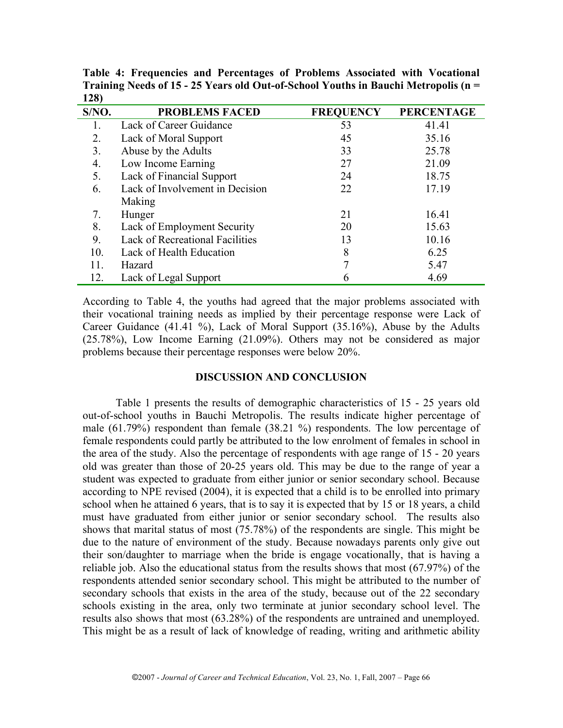| S/NO. | <b>PROBLEMS FACED</b>                  | <b>FREQUENCY</b> | <b>PERCENTAGE</b> |
|-------|----------------------------------------|------------------|-------------------|
|       | Lack of Career Guidance                | 53               | 41.41             |
| 2.    | Lack of Moral Support                  | 45               | 35.16             |
| 3.    | Abuse by the Adults                    | 33               | 25.78             |
| 4.    | Low Income Earning                     | 27               | 21.09             |
| 5.    | Lack of Financial Support              | 24               | 18.75             |
| 6.    | Lack of Involvement in Decision        | 22               | 17.19             |
|       | Making                                 |                  |                   |
| 7.    | Hunger                                 | 21               | 16.41             |
| 8.    | Lack of Employment Security            | 20               | 15.63             |
| 9.    | <b>Lack of Recreational Facilities</b> | 13               | 10.16             |
| 10.   | Lack of Health Education               | 8                | 6.25              |
| 11.   | Hazard                                 |                  | 5.47              |
| 12.   | Lack of Legal Support                  |                  | 4.69              |

**Table 4: Frequencies and Percentages of Problems Associated with Vocational Training Needs of 15 - 25 Years old Out-of-School Youths in Bauchi Metropolis (n = 128)**

According to Table 4, the youths had agreed that the major problems associated with their vocational training needs as implied by their percentage response were Lack of Career Guidance (41.41 %), Lack of Moral Support (35.16%), Abuse by the Adults (25.78%), Low Income Earning (21.09%). Others may not be considered as major problems because their percentage responses were below 20%.

#### **DISCUSSION AND CONCLUSION**

Table 1 presents the results of demographic characteristics of 15 - 25 years old out-of-school youths in Bauchi Metropolis. The results indicate higher percentage of male (61.79%) respondent than female (38.21 %) respondents. The low percentage of female respondents could partly be attributed to the low enrolment of females in school in the area of the study. Also the percentage of respondents with age range of 15 - 20 years old was greater than those of 20-25 years old. This may be due to the range of year a student was expected to graduate from either junior or senior secondary school. Because according to NPE revised (2004), it is expected that a child is to be enrolled into primary school when he attained 6 years, that is to say it is expected that by 15 or 18 years, a child must have graduated from either junior or senior secondary school. The results also shows that marital status of most (75.78%) of the respondents are single. This might be due to the nature of environment of the study. Because nowadays parents only give out their son/daughter to marriage when the bride is engage vocationally, that is having a reliable job. Also the educational status from the results shows that most (67.97%) of the respondents attended senior secondary school. This might be attributed to the number of secondary schools that exists in the area of the study, because out of the 22 secondary schools existing in the area, only two terminate at junior secondary school level. The results also shows that most (63.28%) of the respondents are untrained and unemployed. This might be as a result of lack of knowledge of reading, writing and arithmetic ability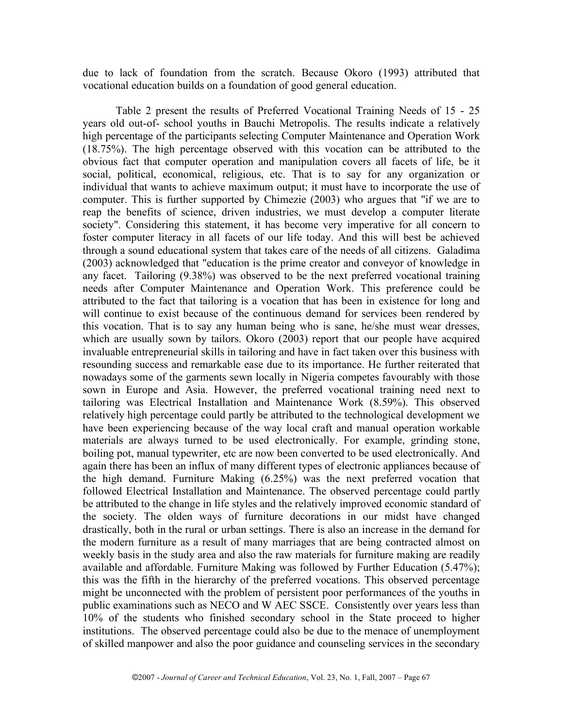due to lack of foundation from the scratch. Because Okoro (1993) attributed that vocational education builds on a foundation of good general education.

Table 2 present the results of Preferred Vocational Training Needs of 15 - 25 years old out-of- school youths in Bauchi Metropolis. The results indicate a relatively high percentage of the participants selecting Computer Maintenance and Operation Work (18.75%). The high percentage observed with this vocation can be attributed to the obvious fact that computer operation and manipulation covers all facets of life, be it social, political, economical, religious, etc. That is to say for any organization or individual that wants to achieve maximum output; it must have to incorporate the use of computer. This is further supported by Chimezie (2003) who argues that "if we are to reap the benefits of science, driven industries, we must develop a computer literate society". Considering this statement, it has become very imperative for all concern to foster computer literacy in all facets of our life today. And this will best be achieved through a sound educational system that takes care of the needs of all citizens. Galadima (2003) acknowledged that "education is the prime creator and conveyor of knowledge in any facet. Tailoring (9.38%) was observed to be the next preferred vocational training needs after Computer Maintenance and Operation Work. This preference could be attributed to the fact that tailoring is a vocation that has been in existence for long and will continue to exist because of the continuous demand for services been rendered by this vocation. That is to say any human being who is sane, he/she must wear dresses, which are usually sown by tailors. Okoro (2003) report that our people have acquired invaluable entrepreneurial skills in tailoring and have in fact taken over this business with resounding success and remarkable ease due to its importance. He further reiterated that nowadays some of the garments sewn locally in Nigeria competes favourably with those sown in Europe and Asia. However, the preferred vocational training need next to tailoring was Electrical Installation and Maintenance Work (8.59%). This observed relatively high percentage could partly be attributed to the technological development we have been experiencing because of the way local craft and manual operation workable materials are always turned to be used electronically. For example, grinding stone, boiling pot, manual typewriter, etc are now been converted to be used electronically. And again there has been an influx of many different types of electronic appliances because of the high demand. Furniture Making (6.25%) was the next preferred vocation that followed Electrical Installation and Maintenance. The observed percentage could partly be attributed to the change in life styles and the relatively improved economic standard of the society. The olden ways of furniture decorations in our midst have changed drastically, both in the rural or urban settings. There is also an increase in the demand for the modern furniture as a result of many marriages that are being contracted almost on weekly basis in the study area and also the raw materials for furniture making are readily available and affordable. Furniture Making was followed by Further Education (5.47%); this was the fifth in the hierarchy of the preferred vocations. This observed percentage might be unconnected with the problem of persistent poor performances of the youths in public examinations such as NECO and W AEC SSCE. Consistently over years less than 10% of the students who finished secondary school in the State proceed to higher institutions. The observed percentage could also be due to the menace of unemployment of skilled manpower and also the poor guidance and counseling services in the secondary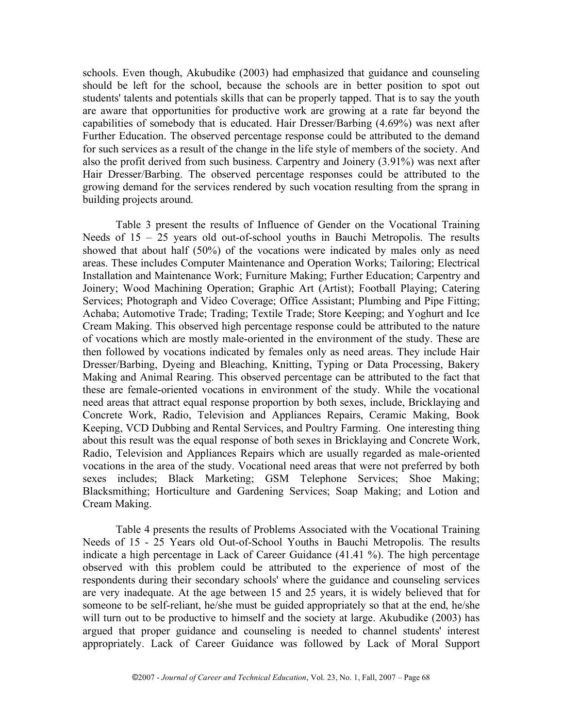schools. Even though, Akubudike (2003) had emphasized that guidance and counseling should be left for the school, because the schools are in better position to spot out students' talents and potentials skills that can be properly tapped. That is to say the youth are aware that opportunities for productive work are growing at a rate far beyond the capabilities of somebody that is educated. Hair Dresser/Barbing (4.69%) was next after Further Education. The observed percentage response could be attributed to the demand for such services as a result of the change in the life style of members of the society. And also the profit derived from such business. Carpentry and Joinery (3.91%) was next after Hair Dresser/Barbing. The observed percentage responses could be attributed to the growing demand for the services rendered by such vocation resulting from the sprang in building projects around.

Table 3 present the results of Influence of Gender on the Vocational Training Needs of  $15 - 25$  years old out-of-school youths in Bauchi Metropolis. The results showed that about half (50%) of the vocations were indicated by males only as need areas. These includes Computer Maintenance and Operation Works; Tailoring; Electrical Installation and Maintenance Work; Furniture Making; Further Education; Carpentry and Joinery; Wood Machining Operation; Graphic Art (Artist); Football Playing; Catering Services; Photograph and Video Coverage; Office Assistant; Plumbing and Pipe Fitting; Achaba; Automotive Trade; Trading; Textile Trade; Store Keeping; and Yoghurt and Ice Cream Making. This observed high percentage response could be attributed to the nature of vocations which are mostly male-oriented in the environment of the study. These are then followed by vocations indicated by females only as need areas. They include Hair Dresser/Barbing, Dyeing and Bleaching, Knitting, Typing or Data Processing, Bakery Making and Animal Rearing. This observed percentage can be attributed to the fact that these are female-oriented vocations in environment of the study. While the vocational need areas that attract equal response proportion by both sexes, include, Bricklaying and Concrete Work, Radio, Television and Appliances Repairs, Ceramic Making, Book Keeping, VCD Dubbing and Rental Services, and Poultry Farming. One interesting thing about this result was the equal response of both sexes in Bricklaying and Concrete Work, Radio, Television and Appliances Repairs which are usually regarded as male-oriented vocations in the area of the study. Vocational need areas that were not preferred by both sexes includes; Black Marketing; GSM Telephone Services; Shoe Making; Blacksmithing; Horticulture and Gardening Services; Soap Making; and Lotion and Cream Making.

Table 4 presents the results of Problems Associated with the Vocational Training Needs of 15 - 25 Years old Out-of-School Youths in Bauchi Metropolis. The results indicate a high percentage in Lack of Career Guidance (41.41 %). The high percentage observed with this problem could be attributed to the experience of most of the respondents during their secondary schools' where the guidance and counseling services are very inadequate. At the age between 15 and 25 years, it is widely believed that for someone to be self-reliant, he/she must be guided appropriately so that at the end, he/she will turn out to be productive to himself and the society at large. Akubudike (2003) has argued that proper guidance and counseling is needed to channel students' interest appropriately. Lack of Career Guidance was followed by Lack of Moral Support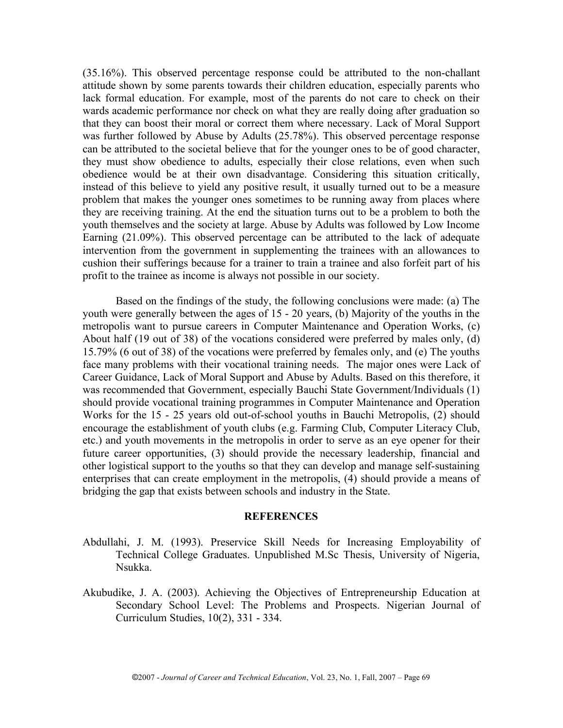(35.16%). This observed percentage response could be attributed to the non-challant attitude shown by some parents towards their children education, especially parents who lack formal education. For example, most of the parents do not care to check on their wards academic performance nor check on what they are really doing after graduation so that they can boost their moral or correct them where necessary. Lack of Moral Support was further followed by Abuse by Adults (25.78%). This observed percentage response can be attributed to the societal believe that for the younger ones to be of good character, they must show obedience to adults, especially their close relations, even when such obedience would be at their own disadvantage. Considering this situation critically, instead of this believe to yield any positive result, it usually turned out to be a measure problem that makes the younger ones sometimes to be running away from places where they are receiving training. At the end the situation turns out to be a problem to both the youth themselves and the society at large. Abuse by Adults was followed by Low Income Earning (21.09%). This observed percentage can be attributed to the lack of adequate intervention from the government in supplementing the trainees with an allowances to cushion their sufferings because for a trainer to train a trainee and also forfeit part of his profit to the trainee as income is always not possible in our society.

Based on the findings of the study, the following conclusions were made: (a) The youth were generally between the ages of 15 - 20 years, (b) Majority of the youths in the metropolis want to pursue careers in Computer Maintenance and Operation Works, (c) About half (19 out of 38) of the vocations considered were preferred by males only, (d) 15.79% (6 out of 38) of the vocations were preferred by females only, and (e) The youths face many problems with their vocational training needs. The major ones were Lack of Career Guidance, Lack of Moral Support and Abuse by Adults. Based on this therefore, it was recommended that Government, especially Bauchi State Government/Individuals (1) should provide vocational training programmes in Computer Maintenance and Operation Works for the 15 - 25 years old out-of-school youths in Bauchi Metropolis, (2) should encourage the establishment of youth clubs (e.g. Farming Club, Computer Literacy Club, etc.) and youth movements in the metropolis in order to serve as an eye opener for their future career opportunities, (3) should provide the necessary leadership, financial and other logistical support to the youths so that they can develop and manage self-sustaining enterprises that can create employment in the metropolis, (4) should provide a means of bridging the gap that exists between schools and industry in the State.

#### **REFERENCES**

- Abdullahi, J. M. (1993). Preservice Skill Needs for Increasing Employability of Technical College Graduates. Unpublished M.Sc Thesis, University of Nigeria, Nsukka.
- Akubudike, J. A. (2003). Achieving the Objectives of Entrepreneurship Education at Secondary School Level: The Problems and Prospects. Nigerian Journal of Curriculum Studies, 10(2), 331 - 334.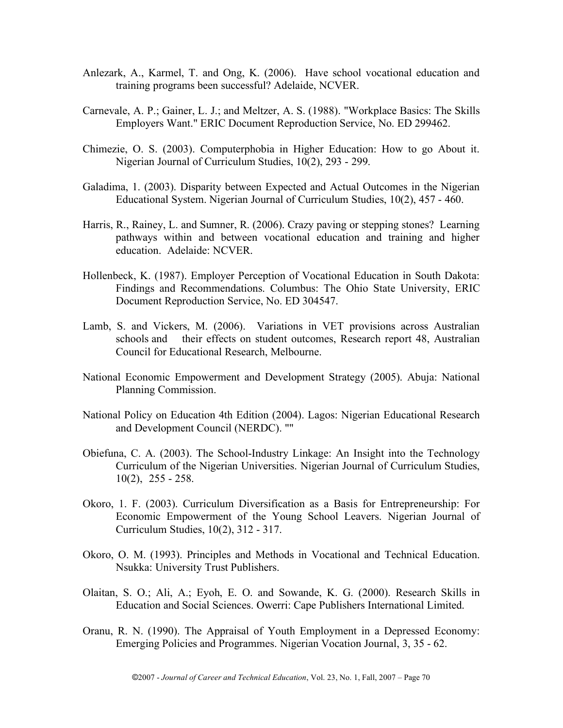- Anlezark, A., Karmel, T. and Ong, K. (2006). Have school vocational education and training programs been successful? Adelaide, NCVER.
- Carnevale, A. P.; Gainer, L. J.; and Meltzer, A. S. (1988). "Workplace Basics: The Skills Employers Want." ERIC Document Reproduction Service, No. ED 299462.
- Chimezie, O. S. (2003). Computerphobia in Higher Education: How to go About it. Nigerian Journal of Curriculum Studies, 10(2), 293 - 299.
- Galadima, 1. (2003). Disparity between Expected and Actual Outcomes in the Nigerian Educational System. Nigerian Journal of Curriculum Studies, 10(2), 457 - 460.
- Harris, R., Rainey, L. and Sumner, R. (2006). Crazy paving or stepping stones? Learning pathways within and between vocational education and training and higher education. Adelaide: NCVER.
- Hollenbeck, K. (1987). Employer Perception of Vocational Education in South Dakota: Findings and Recommendations. Columbus: The Ohio State University, ERIC Document Reproduction Service, No. ED 304547.
- Lamb, S. and Vickers, M. (2006). Variations in VET provisions across Australian schools and their effects on student outcomes, Research report 48, Australian Council for Educational Research, Melbourne.
- National Economic Empowerment and Development Strategy (2005). Abuja: National Planning Commission.
- National Policy on Education 4th Edition (2004). Lagos: Nigerian Educational Research and Development Council (NERDC). ""
- Obiefuna, C. A. (2003). The School-Industry Linkage: An Insight into the Technology Curriculum of the Nigerian Universities. Nigerian Journal of Curriculum Studies, 10(2), 255 - 258.
- Okoro, 1. F. (2003). Curriculum Diversification as a Basis for Entrepreneurship: For Economic Empowerment of the Young School Leavers. Nigerian Journal of Curriculum Studies, 10(2), 312 - 317.
- Okoro, O. M. (1993). Principles and Methods in Vocational and Technical Education. Nsukka: University Trust Publishers.
- Olaitan, S. O.; Ali, A.; Eyoh, E. O. and Sowande, K. G. (2000). Research Skills in Education and Social Sciences. Owerri: Cape Publishers International Limited.
- Oranu, R. N. (1990). The Appraisal of Youth Employment in a Depressed Economy: Emerging Policies and Programmes. Nigerian Vocation Journal, 3, 35 - 62.